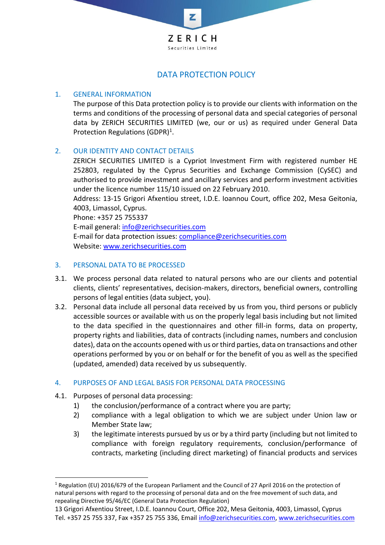

# DATA PROTECTION POLICY

### 1. GENERAL INFORMATION

The purpose of this Data protection policy is to provide our clients with information on the terms and conditions of the processing of personal data and special categories of personal data by ZERICH SECURITIES LIMITED (we, our or us) as required under General Data Protection Regulations (GDPR)<sup>1</sup>.

### 2. OUR IDENTITY AND CONTACT DETAILS

ZERICH SECURITIES LIMITED is a Cypriot Investment Firm with registered number HE 252803, regulated by the Cyprus Securities and Exchange Commission (CySEC) and authorised to provide investment and ancillary services and perform investment activities under the licence number 115/10 issued on 22 February 2010.

Address: 13-15 Grigori Afxentiou street, I.D.E. Ioannou Court, office 202, Mesa Geitonia, 4003, Limassol, Cyprus.

Phone: +357 25 755337

E-mail general: [info@zerichsecurities.com](mailto:info@zerichsecurities.com)

E-mail for data protection issues: [compliance@zerichsecurities.com](mailto:compliance@zerichsecurities.com) Website: [www.zerichsecurities.com](http://www.zerichsecurities.com/)

#### 3. PERSONAL DATA TO BE PROCESSED

- 3.1. We process personal data related to natural persons who are our clients and potential clients, clients' representatives, decision-makers, directors, beneficial owners, controlling persons of legal entities (data subject, you).
- 3.2. Personal data include all personal data received by us from you, third persons or publicly accessible sources or available with us on the properly legal basis including but not limited to the data specified in the questionnaires and other fill-in forms, data on property, property rights and liabilities, data of contracts (including names, numbers and conclusion dates), data on the accounts opened with us or third parties, data on transactions and other operations performed by you or on behalf or for the benefit of you as well as the specified (updated, amended) data received by us subsequently.

#### 4. PURPOSES OF AND LEGAL BASIS FOR PERSONAL DATA PROCESSING

- 4.1. Purposes of personal data processing:
	- 1) the conclusion/performance of a contract where you are party;
	- 2) compliance with a legal obligation to which we are subject under Union law or Member State law;
	- 3) the legitimate interests pursued by us or by a third party (including but not limited to compliance with foreign regulatory requirements, conclusion/performance of contracts, marketing (including direct marketing) of financial products and services

<sup>1</sup> Regulation (EU) 2016/679 of the European Parliament and the Council of 27 April 2016 on the protection of natural persons with regard to the processing of personal data and on the free movement of such data, and repealing Directive 95/46/EC (General Data Protection Regulation)

<sup>13</sup> Grigori Afxentiou Street, I.D.E. Ioannou Court, Office 202, Mesa Geitonia, 4003, Limassol, Cyprus Tel. +357 25 755 337, Fax +357 25 755 336, Email [info@zerichsecurities.com,](mailto:info@zerichsecurities.com) [www.zerichsecurities.com](http://www.zerichsecurities.com/)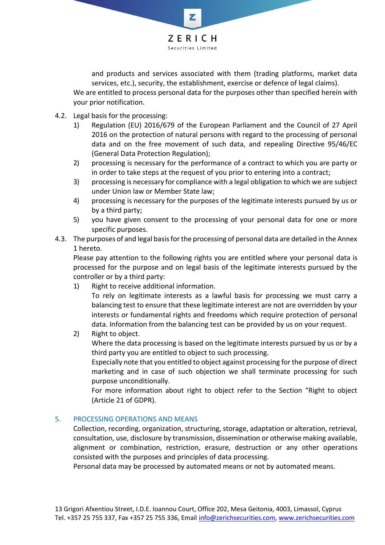

and products and services associated with them (trading platforms, market data services, etc.), security, the establishment, exercise or defence of legal claims). We are entitled to process personal data for the purposes other than specified herein with your prior notification.

- 4.2. Legal basis for the processing:
	- 1) Regulation (EU) 2016/679 of the European Parliament and the Council of 27 April 2016 on the protection of natural persons with regard to the processing of personal data and on the free movement of such data, and repealing Directive 95/46/EC (General Data Protection Regulation);
	- 2) processing is necessary for the performance of a contract to which you are party or in order to take steps at the request of you prior to entering into a contract;
	- 3) processing is necessary for compliance with a legal obligation to which we are subject under Union law or Member State law;
	- 4) processing is necessary for the purposes of the legitimate interests pursued by us or by a third party;
	- 5) you have given consent to the processing of your personal data for one or more specific purposes.
- 4.3. The purposes of and legal basis for the processing of personal data are detailed in the Annex 1 hereto.

Please pay attention to the following rights you are entitled where your personal data is processed for the purpose and on legal basis of the legitimate interests pursued by the controller or by a third party:

1) Right to receive additional information.

To rely on legitimate interests as a lawful basis for processing we must carry a balancing test to ensure that these legitimate interest are not are overridden by your interests or fundamental rights and freedoms which require protection of personal data. Information from the balancing test can be provided by us on your request.

2) Right to object.

Where the data processing is based on the legitimate interests pursued by us or by a third party you are entitled to object to such processing.

Especially note that you entitled to object against processing for the purpose of direct marketing and in case of such objection we shall terminate processing for such purpose unconditionally.

For more information about right to object refer to the Section "Right to object (Article 21 of GDPR).

### 5. PROCESSING OPERATIONS AND MEANS

Collection, recording, organization, structuring, storage, adaptation or alteration, retrieval, consultation, use, disclosure by transmission, dissemination or otherwise making available, alignment or combination, restriction, erasure, destruction or any other operations consisted with the purposes and principles of data processing.

Personal data may be processed by automated means or not by automated means.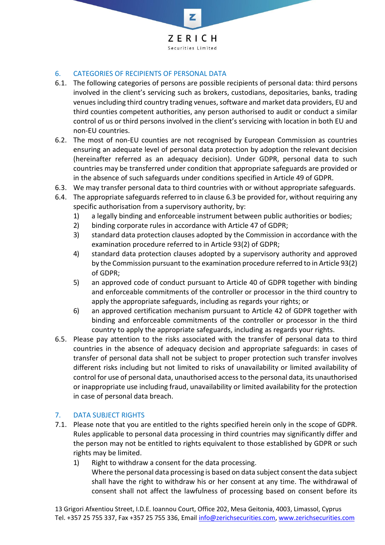

### 6. CATEGORIES OF RECIPIENTS OF PERSONAL DATA

- 6.1. The following categories of persons are possible recipients of personal data: third persons involved in the client's servicing such as brokers, custodians, depositaries, banks, trading venues including third country trading venues, software and market data providers, EU and third counties competent authorities, any person authorised to audit or conduct a similar control of us or third persons involved in the client's servicing with location in both EU and non-EU countries.
- 6.2. The most of non-EU counties are not recognised by European Commission as countries ensuring an adequate level of personal data protection by adoption the relevant decision (hereinafter referred as an adequacy decision). Under GDPR, personal data to such countries may be transferred under condition that appropriate safeguards are provided or in the absence of such safeguards under conditions specified in Article 49 of GDPR.
- 6.3. We may transfer personal data to third countries with or without appropriate safeguards.
- 6.4. The appropriate safeguards referred to in clause 6.3 be provided for, without requiring any specific authorisation from a supervisory authority, by:
	- 1) a legally binding and enforceable instrument between public authorities or bodies;
	- 2) binding corporate rules in accordance with Article 47 of GDPR;
	- 3) standard data protection clauses adopted by the Commission in accordance with the examination procedure referred to in Article 93(2) of GDPR;
	- 4) standard data protection clauses adopted by a supervisory authority and approved by the Commission pursuant to the examination procedure referred to in Article 93(2) of GDPR;
	- 5) an approved code of conduct pursuant to Article 40 of GDPR together with binding and enforceable commitments of the controller or processor in the third country to apply the appropriate safeguards, including as regards your rights; or
	- 6) an approved certification mechanism pursuant to Article 42 of GDPR together with binding and enforceable commitments of the controller or processor in the third country to apply the appropriate safeguards, including as regards your rights.
- 6.5. Please pay attention to the risks associated with the transfer of personal data to third countries in the absence of adequacy decision and appropriate safeguards: in cases of transfer of personal data shall not be subject to proper protection such transfer involves different risks including but not limited to risks of unavailability or limited availability of control for use of personal data, unauthorised access to the personal data, its unauthorised or inappropriate use including fraud, unavailability or limited availability for the protection in case of personal data breach.

### 7. DATA SUBJECT RIGHTS

- 7.1. Please note that you are entitled to the rights specified herein only in the scope of GDPR. Rules applicable to personal data processing in third countries may significantly differ and the person may not be entitled to rights equivalent to those established by GDPR or such rights may be limited.
	- 1) Right to withdraw a consent for the data processing.
		- Where the personal data processing is based on data subject consent the data subject shall have the right to withdraw his or her consent at any time. The withdrawal of consent shall not affect the lawfulness of processing based on consent before its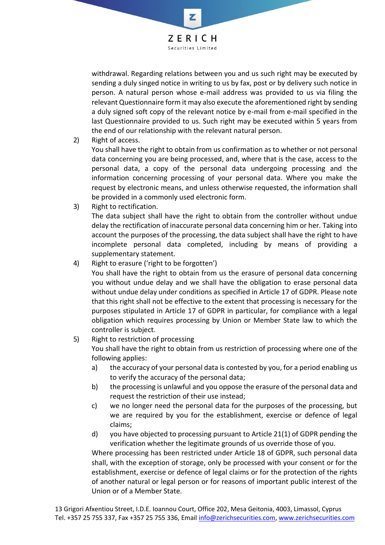

withdrawal. Regarding relations between you and us such right may be executed by sending a duly singed notice in writing to us by fax, post or by delivery such notice in person. A natural person whose e-mail address was provided to us via filing the relevant Questionnaire form it may also execute the aforementioned right by sending a duly signed soft copy of the relevant notice by e-mail from e-mail specified in the last Questionnaire provided to us. Such right may be executed within 5 years from the end of our relationship with the relevant natural person.

2) Right of access.

You shall have the right to obtain from us confirmation as to whether or not personal data concerning you are being processed, and, where that is the case, access to the personal data, a copy of the personal data undergoing processing and the information concerning processing of your personal data. Where you make the request by electronic means, and unless otherwise requested, the information shall be provided in a commonly used electronic form.

3) Right to rectification.

The data subject shall have the right to obtain from the controller without undue delay the rectification of inaccurate personal data concerning him or her. Taking into account the purposes of the processing, the data subject shall have the right to have incomplete personal data completed, including by means of providing a supplementary statement.

4) Right to erasure ('right to be forgotten')

You shall have the right to obtain from us the erasure of personal data concerning you without undue delay and we shall have the obligation to erase personal data without undue delay under conditions as specified in Article 17 of GDPR. Please note that this right shall not be effective to the extent that processing is necessary for the purposes stipulated in Article 17 of GDPR in particular, for compliance with a legal obligation which requires processing by Union or Member State law to which the controller is subject.

## 5) Right to restriction of processing

You shall have the right to obtain from us restriction of processing where one of the following applies:

- a) the accuracy of your personal data is contested by you, for a period enabling us to verify the accuracy of the personal data;
- b) the processing is unlawful and you oppose the erasure of the personal data and request the restriction of their use instead;
- c) we no longer need the personal data for the purposes of the processing, but we are required by you for the establishment, exercise or defence of legal claims;
- d) you have objected to processing pursuant to Article 21(1) of GDPR pending the verification whether the legitimate grounds of us override those of you.

Where processing has been restricted under Article 18 of GDPR, such personal data shall, with the exception of storage, only be processed with your consent or for the establishment, exercise or defence of legal claims or for the protection of the rights of another natural or legal person or for reasons of important public interest of the Union or of a Member State.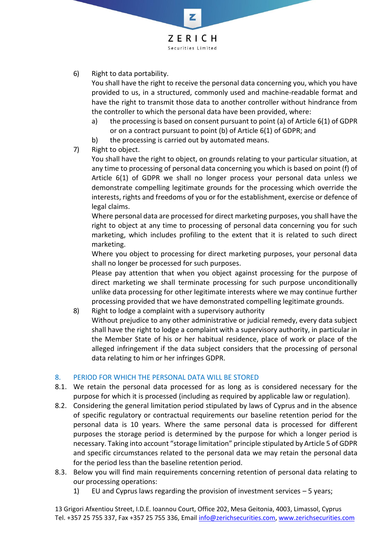

6) Right to data portability.

You shall have the right to receive the personal data concerning you, which you have provided to us, in a structured, commonly used and machine-readable format and have the right to transmit those data to another controller without hindrance from the controller to which the personal data have been provided, where:

- a) the processing is based on consent pursuant to point (a) of Article 6(1) of GDPR or on a contract pursuant to point (b) of Article 6(1) of GDPR; and
- b) the processing is carried out by automated means.
- 7) Right to object.

You shall have the right to object, on grounds relating to your particular situation, at any time to processing of personal data concerning you which is based on point (f) of Article 6(1) of GDPR we shall no longer process your personal data unless we demonstrate compelling legitimate grounds for the processing which override the interests, rights and freedoms of you or for the establishment, exercise or defence of legal claims.

Where personal data are processed for direct marketing purposes, you shall have the right to object at any time to processing of personal data concerning you for such marketing, which includes profiling to the extent that it is related to such direct marketing.

Where you object to processing for direct marketing purposes, your personal data shall no longer be processed for such purposes.

Please pay attention that when you object against processing for the purpose of direct marketing we shall terminate processing for such purpose unconditionally unlike data processing for other legitimate interests where we may continue further processing provided that we have demonstrated compelling legitimate grounds.

8) Right to lodge a complaint with a supervisory authority

Without prejudice to any other administrative or judicial remedy, every data subject shall have the right to lodge a complaint with a supervisory authority, in particular in the Member State of his or her habitual residence, place of work or place of the alleged infringement if the data subject considers that the processing of personal data relating to him or her infringes GDPR.

### 8. PERIOD FOR WHICH THE PERSONAL DATA WILL BE STORED

- 8.1. We retain the personal data processed for as long as is considered necessary for the purpose for which it is processed (including as required by applicable law or regulation).
- 8.2. Considering the general limitation period stipulated by laws of Cyprus and in the absence of specific regulatory or contractual requirements our baseline retention period for the personal data is 10 years. Where the same personal data is processed for different purposes the storage period is determined by the purpose for which a longer period is necessary. Taking into account "storage limitation" principle stipulated by Article 5 of GDPR and specific circumstances related to the personal data we may retain the personal data for the period less than the baseline retention period.
- 8.3. Below you will find main requirements concerning retention of personal data relating to our processing operations:
	- 1) EU and Cyprus laws regarding the provision of investment services 5 years;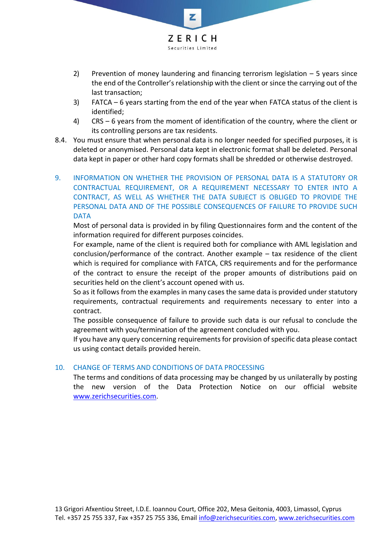

- 2) Prevention of money laundering and financing terrorism legislation 5 years since the end of the Controller's relationship with the client or since the carrying out of the last transaction;
- 3) FATCA 6 years starting from the end of the year when FATCA status of the client is identified;
- 4) CRS 6 years from the moment of identification of the country, where the client or its controlling persons are tax residents.
- 8.4. You must ensure that when personal data is no longer needed for specified purposes, it is deleted or anonymised. Personal data kept in electronic format shall be deleted. Personal data kept in paper or other hard copy formats shall be shredded or otherwise destroyed.
- 9. INFORMATION ON WHETHER THE PROVISION OF PERSONAL DATA IS A STATUTORY OR CONTRACTUAL REQUIREMENT, OR A REQUIREMENT NECESSARY TO ENTER INTO A CONTRACT, AS WELL AS WHETHER THE DATA SUBJECT IS OBLIGED TO PROVIDE THE PERSONAL DATA AND OF THE POSSIBLE CONSEQUENCES OF FAILURE TO PROVIDE SUCH DATA

Most of personal data is provided in by filing Questionnaires form and the content of the information required for different purposes coincides.

For example, name of the client is required both for compliance with AML legislation and conclusion/performance of the contract. Another example – tax residence of the client which is required for compliance with FATCA, CRS requirements and for the performance of the contract to ensure the receipt of the proper amounts of distributions paid on securities held on the client's account opened with us.

So as it follows from the examples in many cases the same data is provided under statutory requirements, contractual requirements and requirements necessary to enter into a contract.

The possible consequence of failure to provide such data is our refusal to conclude the agreement with you/termination of the agreement concluded with you.

If you have any query concerning requirements for provision of specific data please contact us using contact details provided herein.

### 10. CHANGE OF TERMS AND CONDITIONS OF DATA PROCESSING

The terms and conditions of data processing may be changed by us unilaterally by posting the new version of the Data Protection Notice on our official website [www.zerichsecurities.com.](http://www.zerichsecurities.com/)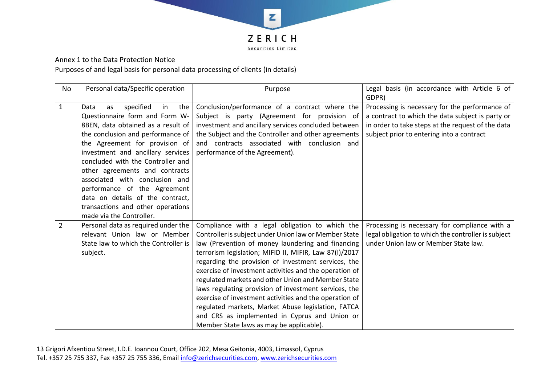

Annex 1 to the Data Protection Notice

Purposes of and legal basis for personal data processing of clients (in details)

| No             | Personal data/Specific operation                                                                                                                                                                                                                                                                                                                                                                                                                                       | Purpose                                                                                                                                                                                                                                                                                                                                                                                                                                                                                                                                                                                                                                                              | Legal basis (in accordance with Article 6 of<br>GDPR)                                                                                                                                                |
|----------------|------------------------------------------------------------------------------------------------------------------------------------------------------------------------------------------------------------------------------------------------------------------------------------------------------------------------------------------------------------------------------------------------------------------------------------------------------------------------|----------------------------------------------------------------------------------------------------------------------------------------------------------------------------------------------------------------------------------------------------------------------------------------------------------------------------------------------------------------------------------------------------------------------------------------------------------------------------------------------------------------------------------------------------------------------------------------------------------------------------------------------------------------------|------------------------------------------------------------------------------------------------------------------------------------------------------------------------------------------------------|
| $\mathbf{1}$   | specified<br>the<br>in<br>Data<br>as<br>Questionnaire form and Form W-<br>8BEN, data obtained as a result of<br>the conclusion and performance of<br>the Agreement for provision of<br>investment and ancillary services<br>concluded with the Controller and<br>other agreements and contracts<br>associated with conclusion and<br>performance of the Agreement<br>data on details of the contract,<br>transactions and other operations<br>made via the Controller. | Conclusion/performance of a contract where the<br>Subject is party (Agreement for provision of<br>investment and ancillary services concluded between<br>the Subject and the Controller and other agreements<br>and contracts associated with conclusion and<br>performance of the Agreement).                                                                                                                                                                                                                                                                                                                                                                       | Processing is necessary for the performance of<br>a contract to which the data subject is party or<br>in order to take steps at the request of the data<br>subject prior to entering into a contract |
| $\overline{2}$ | Personal data as required under the<br>relevant Union law or Member<br>State law to which the Controller is<br>subject.                                                                                                                                                                                                                                                                                                                                                | Compliance with a legal obligation to which the<br>Controller is subject under Union law or Member State<br>law (Prevention of money laundering and financing<br>terrorism legislation; MIFID II, MIFIR, Law 87(I)/2017<br>regarding the provision of investment services, the<br>exercise of investment activities and the operation of<br>regulated markets and other Union and Member State<br>laws regulating provision of investment services, the<br>exercise of investment activities and the operation of<br>regulated markets, Market Abuse legislation, FATCA<br>and CRS as implemented in Cyprus and Union or<br>Member State laws as may be applicable). | Processing is necessary for compliance with a<br>legal obligation to which the controller is subject<br>under Union law or Member State law.                                                         |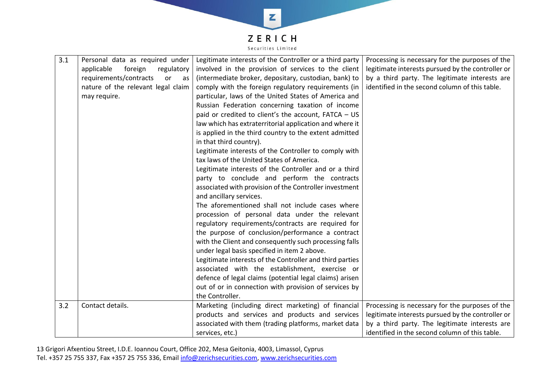

| 3.1 | Personal data as required under<br>applicable<br>foreign<br>regulatory<br>requirements/contracts<br>or<br>as<br>nature of the relevant legal claim<br>may require. | Legitimate interests of the Controller or a third party<br>involved in the provision of services to the client<br>(intermediate broker, depositary, custodian, bank) to<br>comply with the foreign regulatory requirements (in<br>particular, laws of the United States of America and<br>Russian Federation concerning taxation of income<br>paid or credited to client's the account, FATCA - US<br>law which has extraterritorial application and where it<br>is applied in the third country to the extent admitted<br>in that third country).                                                                        | Processing is necessary for the purposes of the<br>legitimate interests pursued by the controller or<br>by a third party. The legitimate interests are<br>identified in the second column of this table. |
|-----|--------------------------------------------------------------------------------------------------------------------------------------------------------------------|---------------------------------------------------------------------------------------------------------------------------------------------------------------------------------------------------------------------------------------------------------------------------------------------------------------------------------------------------------------------------------------------------------------------------------------------------------------------------------------------------------------------------------------------------------------------------------------------------------------------------|----------------------------------------------------------------------------------------------------------------------------------------------------------------------------------------------------------|
|     |                                                                                                                                                                    | Legitimate interests of the Controller to comply with<br>tax laws of the United States of America.<br>Legitimate interests of the Controller and or a third<br>party to conclude and perform the contracts<br>associated with provision of the Controller investment<br>and ancillary services.<br>The aforementioned shall not include cases where<br>procession of personal data under the relevant<br>regulatory requirements/contracts are required for<br>the purpose of conclusion/performance a contract<br>with the Client and consequently such processing falls<br>under legal basis specified in item 2 above. |                                                                                                                                                                                                          |
|     |                                                                                                                                                                    | Legitimate interests of the Controller and third parties<br>associated with the establishment, exercise or<br>defence of legal claims (potential legal claims) arisen<br>out of or in connection with provision of services by<br>the Controller.                                                                                                                                                                                                                                                                                                                                                                         |                                                                                                                                                                                                          |
| 3.2 | Contact details.                                                                                                                                                   | Marketing (including direct marketing) of financial<br>products and services and products and services<br>associated with them (trading platforms, market data<br>services, etc.)                                                                                                                                                                                                                                                                                                                                                                                                                                         | Processing is necessary for the purposes of the<br>legitimate interests pursued by the controller or<br>by a third party. The legitimate interests are<br>identified in the second column of this table. |

13 Grigori Afxentiou Street, I.D.E. Ioannou Court, Office 202, Mesa Geitonia, 4003, Limassol, Cyprus Tel. +357 25 755 337, Fax +357 25 755 336, Email [info@zerichsecurities.com,](mailto:info@zerichsecurities.com) [www.zerichsecurities.com](http://www.zerichsecurities.com/)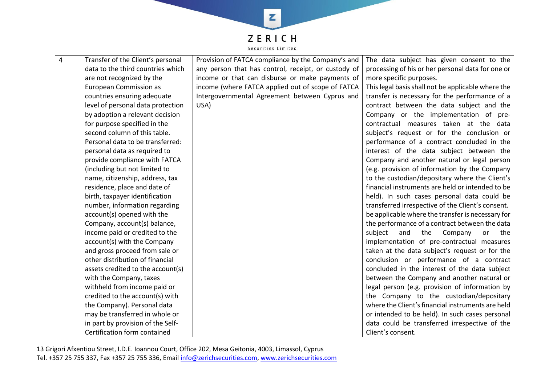

| 4 | Transfer of the Client's personal | Provision of FATCA compliance by the Company's and  | The data subject has given consent to the          |
|---|-----------------------------------|-----------------------------------------------------|----------------------------------------------------|
|   | data to the third countries which | any person that has control, receipt, or custody of | processing of his or her personal data for one or  |
|   | are not recognized by the         | income or that can disburse or make payments of     | more specific purposes.                            |
|   | <b>European Commission as</b>     | income (where FATCA applied out of scope of FATCA   | This legal basis shall not be applicable where the |
|   | countries ensuring adequate       | Intergovernmental Agreement between Cyprus and      | transfer is necessary for the performance of a     |
|   | level of personal data protection | USA)                                                | contract between the data subject and the          |
|   | by adoption a relevant decision   |                                                     | Company or the implementation of pre-              |
|   | for purpose specified in the      |                                                     | contractual measures taken at the data             |
|   | second column of this table.      |                                                     | subject's request or for the conclusion or         |
|   | Personal data to be transferred:  |                                                     | performance of a contract concluded in the         |
|   | personal data as required to      |                                                     | interest of the data subject between the           |
|   | provide compliance with FATCA     |                                                     | Company and another natural or legal person        |
|   | (including but not limited to     |                                                     | (e.g. provision of information by the Company      |
|   | name, citizenship, address, tax   |                                                     | to the custodian/depositary where the Client's     |
|   | residence, place and date of      |                                                     | financial instruments are held or intended to be   |
|   | birth, taxpayer identification    |                                                     | held). In such cases personal data could be        |
|   | number, information regarding     |                                                     | transferred irrespective of the Client's consent.  |
|   | account(s) opened with the        |                                                     | be applicable where the transfer is necessary for  |
|   | Company, account(s) balance,      |                                                     | the performance of a contract between the data     |
|   | income paid or credited to the    |                                                     | subject<br>Company<br>and<br>the<br>or<br>the      |
|   | account(s) with the Company       |                                                     | implementation of pre-contractual measures         |
|   | and gross proceed from sale or    |                                                     | taken at the data subject's request or for the     |
|   | other distribution of financial   |                                                     | conclusion or performance of a contract            |
|   | assets credited to the account(s) |                                                     | concluded in the interest of the data subject      |
|   | with the Company, taxes           |                                                     | between the Company and another natural or         |
|   | withheld from income paid or      |                                                     | legal person (e.g. provision of information by     |
|   | credited to the account(s) with   |                                                     | the Company to the custodian/depositary            |
|   | the Company). Personal data       |                                                     | where the Client's financial instruments are held  |
|   | may be transferred in whole or    |                                                     | or intended to be held). In such cases personal    |
|   | in part by provision of the Self- |                                                     | data could be transferred irrespective of the      |
|   | Certification form contained      |                                                     | Client's consent.                                  |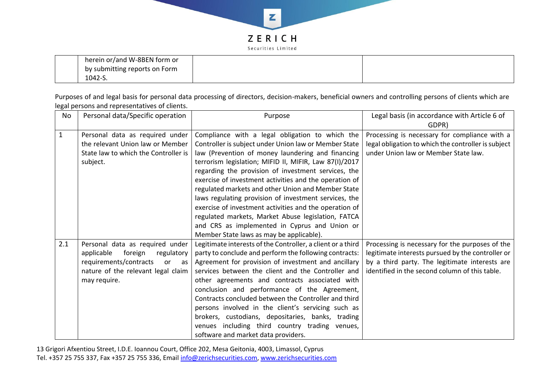

| herein or/and W-8BEN form or  |  |
|-------------------------------|--|
| by submitting reports on Form |  |
| 1042-S.                       |  |

Purposes of and legal basis for personal data processing of directors, decision-makers, beneficial owners and controlling persons of clients which are legal persons and representatives of clients.

| No           | Personal data/Specific operation     | Purpose                                                     | Legal basis (in accordance with Article 6 of        |
|--------------|--------------------------------------|-------------------------------------------------------------|-----------------------------------------------------|
|              |                                      |                                                             | GDPR)                                               |
| $\mathbf{1}$ | Personal data as required under      | Compliance with a legal obligation to which the             | Processing is necessary for compliance with a       |
|              | the relevant Union law or Member     | Controller is subject under Union law or Member State       | legal obligation to which the controller is subject |
|              | State law to which the Controller is | law (Prevention of money laundering and financing           | under Union law or Member State law.                |
|              | subject.                             | terrorism legislation; MIFID II, MIFIR, Law 87(I)/2017      |                                                     |
|              |                                      | regarding the provision of investment services, the         |                                                     |
|              |                                      | exercise of investment activities and the operation of      |                                                     |
|              |                                      | regulated markets and other Union and Member State          |                                                     |
|              |                                      | laws regulating provision of investment services, the       |                                                     |
|              |                                      | exercise of investment activities and the operation of      |                                                     |
|              |                                      | regulated markets, Market Abuse legislation, FATCA          |                                                     |
|              |                                      | and CRS as implemented in Cyprus and Union or               |                                                     |
|              |                                      | Member State laws as may be applicable).                    |                                                     |
| 2.1          | Personal data as required under      | Legitimate interests of the Controller, a client or a third | Processing is necessary for the purposes of the     |
|              | applicable<br>foreign<br>regulatory  | party to conclude and perform the following contracts:      | legitimate interests pursued by the controller or   |
|              | requirements/contracts<br>or<br>as   | Agreement for provision of investment and ancillary         | by a third party. The legitimate interests are      |
|              | nature of the relevant legal claim   | services between the client and the Controller and          | identified in the second column of this table.      |
|              | may require.                         | other agreements and contracts associated with              |                                                     |
|              |                                      | conclusion and performance of the Agreement,                |                                                     |
|              |                                      | Contracts concluded between the Controller and third        |                                                     |
|              |                                      | persons involved in the client's servicing such as          |                                                     |
|              |                                      | brokers, custodians, depositaries, banks, trading           |                                                     |
|              |                                      | venues including third country trading venues,              |                                                     |
|              |                                      | software and market data providers.                         |                                                     |

13 Grigori Afxentiou Street, I.D.E. Ioannou Court, Office 202, Mesa Geitonia, 4003, Limassol, Cyprus Tel. +357 25 755 337, Fax +357 25 755 336, Email [info@zerichsecurities.com,](mailto:info@zerichsecurities.com) [www.zerichsecurities.com](http://www.zerichsecurities.com/)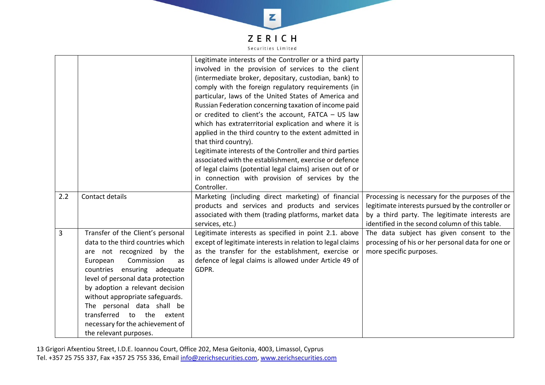

|                |                                                                                                                                                                                                                                                                                                                                                                                                              | Legitimate interests of the Controller or a third party<br>involved in the provision of services to the client<br>(intermediate broker, depositary, custodian, bank) to<br>comply with the foreign regulatory requirements (in<br>particular, laws of the United States of America and<br>Russian Federation concerning taxation of income paid<br>or credited to client's the account, FATCA - US law<br>which has extraterritorial explication and where it is<br>applied in the third country to the extent admitted in<br>that third country).<br>Legitimate interests of the Controller and third parties<br>associated with the establishment, exercise or defence<br>of legal claims (potential legal claims) arisen out of or<br>in connection with provision of services by the<br>Controller. |                                                                                                                                                                                                          |
|----------------|--------------------------------------------------------------------------------------------------------------------------------------------------------------------------------------------------------------------------------------------------------------------------------------------------------------------------------------------------------------------------------------------------------------|---------------------------------------------------------------------------------------------------------------------------------------------------------------------------------------------------------------------------------------------------------------------------------------------------------------------------------------------------------------------------------------------------------------------------------------------------------------------------------------------------------------------------------------------------------------------------------------------------------------------------------------------------------------------------------------------------------------------------------------------------------------------------------------------------------|----------------------------------------------------------------------------------------------------------------------------------------------------------------------------------------------------------|
| 2.2            | Contact details                                                                                                                                                                                                                                                                                                                                                                                              | Marketing (including direct marketing) of financial<br>products and services and products and services<br>associated with them (trading platforms, market data<br>services, etc.)                                                                                                                                                                                                                                                                                                                                                                                                                                                                                                                                                                                                                       | Processing is necessary for the purposes of the<br>legitimate interests pursued by the controller or<br>by a third party. The legitimate interests are<br>identified in the second column of this table. |
| $\overline{3}$ | Transfer of the Client's personal<br>data to the third countries which<br>are not recognized by the<br>Commission<br>European<br>as<br>countries ensuring adequate<br>level of personal data protection<br>by adoption a relevant decision<br>without appropriate safeguards.<br>The personal data shall be<br>transferred<br>to the<br>extent<br>necessary for the achievement of<br>the relevant purposes. | Legitimate interests as specified in point 2.1. above<br>except of legitimate interests in relation to legal claims<br>as the transfer for the establishment, exercise or<br>defence of legal claims is allowed under Article 49 of<br>GDPR.                                                                                                                                                                                                                                                                                                                                                                                                                                                                                                                                                            | The data subject has given consent to the<br>processing of his or her personal data for one or<br>more specific purposes.                                                                                |

13 Grigori Afxentiou Street, I.D.E. Ioannou Court, Office 202, Mesa Geitonia, 4003, Limassol, Cyprus Tel. +357 25 755 337, Fax +357 25 755 336, Email [info@zerichsecurities.com,](mailto:info@zerichsecurities.com) [www.zerichsecurities.com](http://www.zerichsecurities.com/)